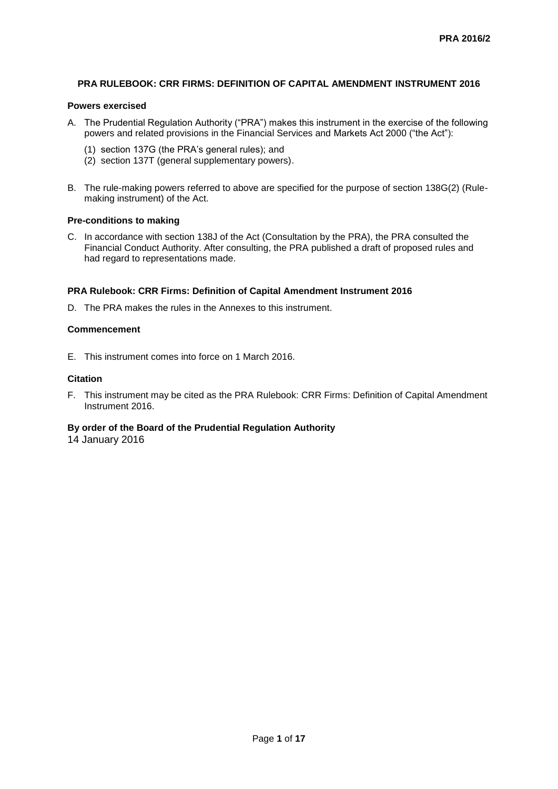## **PRA RULEBOOK: CRR FIRMS: DEFINITION OF CAPITAL AMENDMENT INSTRUMENT 2016**

## **Powers exercised**

- A. The Prudential Regulation Authority ("PRA") makes this instrument in the exercise of the following powers and related provisions in the Financial Services and Markets Act 2000 ("the Act"):
	- (1) section 137G (the PRA's general rules); and
	- (2) section 137T (general supplementary powers).
- B. The rule-making powers referred to above are specified for the purpose of section 138G(2) (Rulemaking instrument) of the Act.

## **Pre-conditions to making**

C. In accordance with section 138J of the Act (Consultation by the PRA), the PRA consulted the Financial Conduct Authority. After consulting, the PRA published a draft of proposed rules and had regard to representations made.

## **PRA Rulebook: CRR Firms: Definition of Capital Amendment Instrument 2016**

D. The PRA makes the rules in the Annexes to this instrument.

## **Commencement**

E. This instrument comes into force on 1 March 2016.

## **Citation**

F. This instrument may be cited as the PRA Rulebook: CRR Firms: Definition of Capital Amendment Instrument 2016.

## **By order of the Board of the Prudential Regulation Authority**

14 January 2016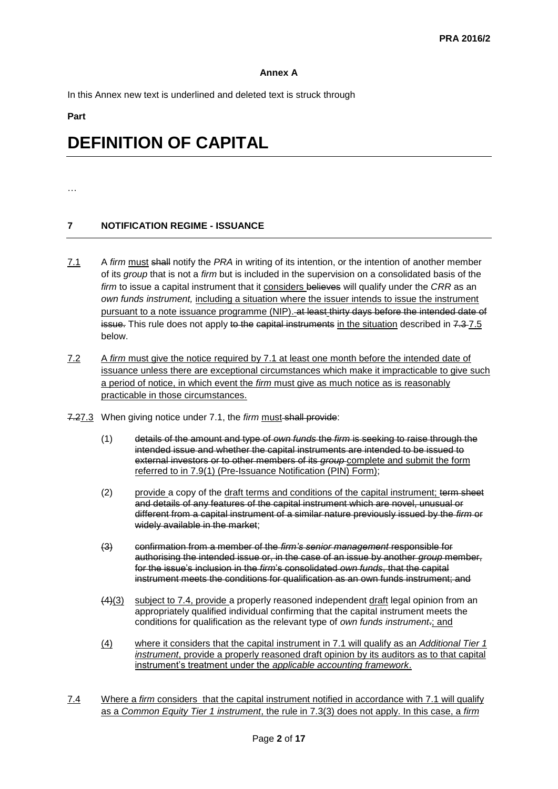## **Annex A**

In this Annex new text is underlined and deleted text is struck through

### **Part**

# **DEFINITION OF CAPITAL**

#### …

## **7 NOTIFICATION REGIME - ISSUANCE**

- 7.1 A *firm* must shall notify the *PRA* in writing of its intention, or the intention of another member of its *group* that is not a *firm* but is included in the supervision on a consolidated basis of the *firm* to issue a capital instrument that it considers believes will qualify under the *CRR* as an *own funds instrument,* including a situation where the issuer intends to issue the instrument pursuant to a note issuance programme (NIP). at least thirty days before the intended date of issue. This rule does not apply to the capital instruments in the situation described in 7.3-7.5 below.
- 7.2 A *firm* must give the notice required by 7.1 at least one month before the intended date of issuance unless there are exceptional circumstances which make it impracticable to give such a period of notice, in which event the *firm* must give as much notice as is reasonably practicable in those circumstances.
- 7.27.3 When giving notice under 7.1, the *firm* must shall provide:
	- (1) details of the amount and type of *own funds* the *firm* is seeking to raise through the intended issue and whether the capital instruments are intended to be issued to external investors or to other members of its *group* complete and submit the form referred to in 7.9(1) (Pre-Issuance Notification (PIN) Form);
	- (2) provide a copy of the draft terms and conditions of the capital instrument; term sheet and details of any features of the capital instrument which are novel, unusual or different from a capital instrument of a similar nature previously issued by the *firm* or widely available in the market;
	- (3) confirmation from a member of the *firm's senior management* responsible for authorising the intended issue or, in the case of an issue by another *group* member, for the issue's inclusion in the *firm*'s consolidated *own funds*, that the capital instrument meets the conditions for qualification as an own funds instrument; and
	- (4)(3) subject to 7.4, provide a properly reasoned independent draft legal opinion from an appropriately qualified individual confirming that the capital instrument meets the conditions for qualification as the relevant type of *own funds instrument*.; and
	- (4) where it considers that the capital instrument in 7.1 will qualify as an *Additional Tier 1 instrument*, provide a properly reasoned draft opinion by its auditors as to that capital instrument's treatment under the *applicable accounting framework*.
- 7.4 Where a *firm* considers that the capital instrument notified in accordance with 7.1 will qualify as a *Common Equity Tier 1 instrument*, the rule in 7.3(3) does not apply. In this case, a *firm*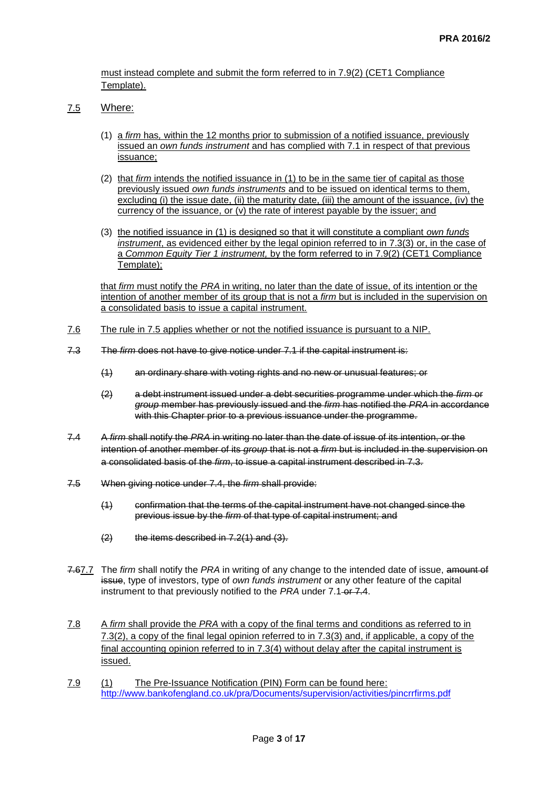must instead complete and submit the form referred to in 7.9(2) (CET1 Compliance Template).

## 7.5 Where:

- (1) a *firm* has*,* within the 12 months prior to submission of a notified issuance, previously issued an *own funds instrument* and has complied with 7.1 in respect of that previous issuance;
- (2) that *firm* intends the notified issuance in (1) to be in the same tier of capital as those previously issued *own funds instruments* and to be issued on identical terms to them, excluding (i) the issue date, (ii) the maturity date, (iii) the amount of the issuance, (iv) the currency of the issuance, or (v) the rate of interest payable by the issuer; and
- (3) the notified issuance in (1) is designed so that it will constitute a compliant *own funds instrument*, as evidenced either by the legal opinion referred to in 7.3(3) or, in the case of a *Common Equity Tier 1 instrument,* by the form referred to in 7.9(2) (CET1 Compliance Template);

that *firm* must notify the *PRA* in writing, no later than the date of issue, of its intention or the intention of another member of its group that is not a *firm* but is included in the supervision on a consolidated basis to issue a capital instrument.

- 7.6 The rule in 7.5 applies whether or not the notified issuance is pursuant to a NIP.
- 7.3 The *firm* does not have to give notice under 7.1 if the capital instrument is:
	- (1) an ordinary share with voting rights and no new or unusual features; or
	- (2) a debt instrument issued under a debt securities programme under which the *firm* or *group* member has previously issued and the *firm* has notified the *PRA* in accordance with this Chapter prior to a previous issuance under the programme.
- 7.4 A *firm* shall notify the *PRA* in writing no later than the date of issue of its intention, or the intention of another member of its *group* that is not a *firm* but is included in the supervision on a consolidated basis of the *firm*, to issue a capital instrument described in 7.3.
- 7.5 When giving notice under 7.4, the *firm* shall provide:
	- (1) confirmation that the terms of the capital instrument have not changed since the previous issue by the *firm* of that type of capital instrument; and
	- (2) the items described in 7.2(1) and (3).
- 7.67.7 The *firm* shall notify the *PRA* in writing of any change to the intended date of issue, amount of issue, type of investors, type of *own funds instrument* or any other feature of the capital instrument to that previously notified to the *PRA* under 7.1 or 7.4.
- 7.8 A *firm* shall provide the *PRA* with a copy of the final terms and conditions as referred to in 7.3(2), a copy of the final legal opinion referred to in 7.3(3) and, if applicable, a copy of the final accounting opinion referred to in 7.3(4) without delay after the capital instrument is issued.
- 7.9 (1) The Pre-Issuance Notification (PIN) Form can be found here: <http://www.bankofengland.co.uk/pra/Documents/supervision/activities/pincrrfirms.pdf>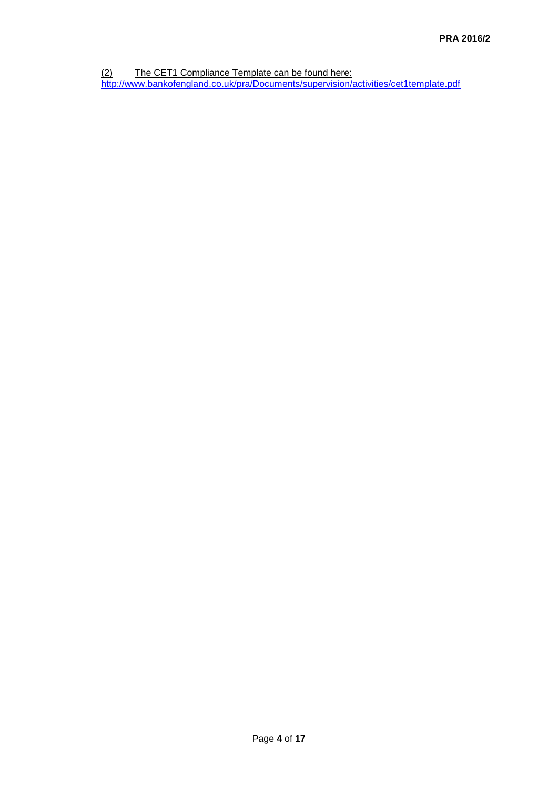(2) The CET1 Compliance Template can be found here:

<http://www.bankofengland.co.uk/pra/Documents/supervision/activities/cet1template.pdf>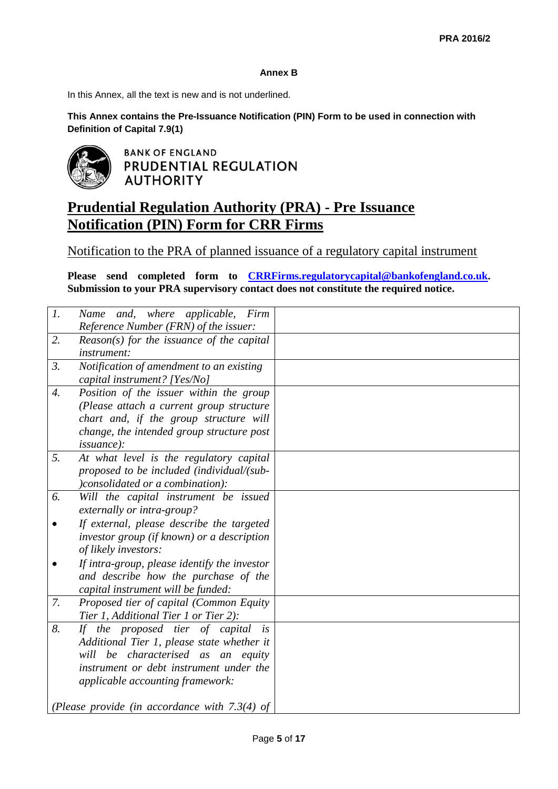## **Annex B**

In this Annex, all the text is new and is not underlined.

**This Annex contains the Pre-Issuance Notification (PIN) Form to be used in connection with Definition of Capital 7.9(1)**



**BANK OF ENGLAND** PRUDENTIAL REGULATION **AUTHORITY** 

## **Prudential Regulation Authority (PRA) - Pre Issuance Notification (PIN) Form for CRR Firms**

Notification to the PRA of planned issuance of a regulatory capital instrument

**Please send completed form to CRRFirms[.regulatorycapital@bankofengland.co.uk.](mailto:regulatorycapital@bankofengland.co.uk) Submission to your PRA supervisory contact does not constitute the required notice.** 

| $\mathcal{I}$ .  | Name and, where applicable, Firm                |  |
|------------------|-------------------------------------------------|--|
|                  | Reference Number (FRN) of the issuer:           |  |
| 2.               | $Reason(s)$ for the issuance of the capital     |  |
|                  | instrument:                                     |  |
| 3.               | Notification of amendment to an existing        |  |
|                  | capital instrument? [Yes/No]                    |  |
| $\overline{4}$ . | Position of the issuer within the group         |  |
|                  | (Please attach a current group structure        |  |
|                  | chart and, if the group structure will          |  |
|                  | change, the intended group structure post       |  |
|                  | <i>issuance</i> ):                              |  |
| 5.               | At what level is the regulatory capital         |  |
|                  | proposed to be included (individual/(sub-       |  |
|                  | )consolidated or a combination):                |  |
| 6.               | Will the capital instrument be issued           |  |
|                  | externally or intra-group?                      |  |
|                  | If external, please describe the targeted       |  |
|                  | investor group (if known) or a description      |  |
|                  | of likely investors:                            |  |
|                  | If intra-group, please identify the investor    |  |
|                  | and describe how the purchase of the            |  |
|                  | capital instrument will be funded:              |  |
| 7.               | Proposed tier of capital (Common Equity         |  |
|                  | Tier 1, Additional Tier 1 or Tier 2):           |  |
| 8.               | If the proposed tier of capital<br>i s          |  |
|                  | Additional Tier 1, please state whether it      |  |
|                  | characterised as an equity<br>will<br>be        |  |
|                  | instrument or debt instrument under the         |  |
|                  | applicable accounting framework:                |  |
|                  |                                                 |  |
|                  | (Please provide (in accordance with $7.3(4)$ of |  |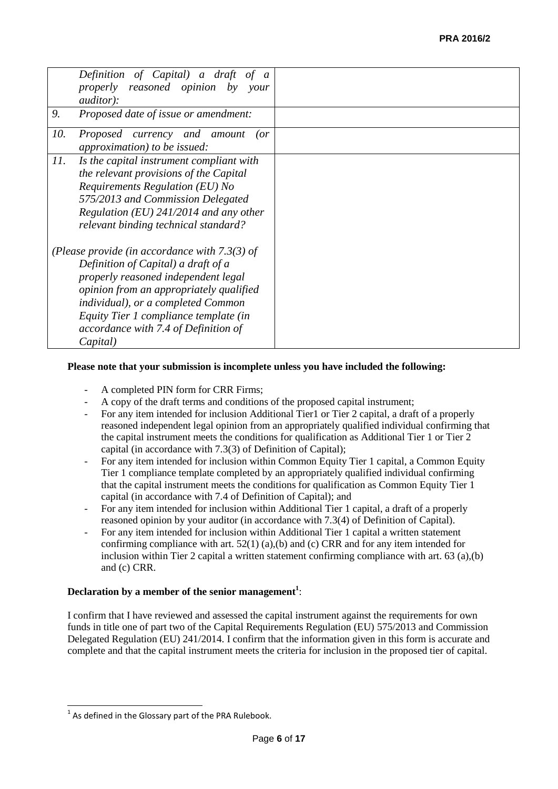|     | Definition of Capital) a draft of a<br>properly reasoned opinion by your<br><i>auditor</i> ):                                                                                                                                                                                                               |  |
|-----|-------------------------------------------------------------------------------------------------------------------------------------------------------------------------------------------------------------------------------------------------------------------------------------------------------------|--|
| 9.  | Proposed date of issue or amendment:                                                                                                                                                                                                                                                                        |  |
| 10. | Proposed currency and amount<br>(or<br><i>approximation</i> ) to be issued:                                                                                                                                                                                                                                 |  |
| 11. | Is the capital instrument compliant with<br>the relevant provisions of the Capital<br>Requirements Regulation (EU) No<br>575/2013 and Commission Delegated<br>Regulation (EU) $241/2014$ and any other<br>relevant binding technical standard?                                                              |  |
|     | (Please provide (in accordance with $7.3(3)$ of<br>Definition of Capital) a draft of a<br>properly reasoned independent legal<br>opinion from an appropriately qualified<br>individual), or a completed Common<br>Equity Tier 1 compliance template (in<br>accordance with 7.4 of Definition of<br>Capital) |  |

## **Please note that your submission is incomplete unless you have included the following:**

- A completed PIN form for CRR Firms;
- A copy of the draft terms and conditions of the proposed capital instrument;
- For any item intended for inclusion Additional Tier1 or Tier 2 capital, a draft of a properly reasoned independent legal opinion from an appropriately qualified individual confirming that the capital instrument meets the conditions for qualification as Additional Tier 1 or Tier 2 capital (in accordance with 7.3(3) of Definition of Capital);
- For any item intended for inclusion within Common Equity Tier 1 capital, a Common Equity Tier 1 compliance template completed by an appropriately qualified individual confirming that the capital instrument meets the conditions for qualification as Common Equity Tier 1 capital (in accordance with 7.4 of Definition of Capital); and
- For any item intended for inclusion within Additional Tier 1 capital, a draft of a properly reasoned opinion by your auditor (in accordance with 7.3(4) of Definition of Capital).
- For any item intended for inclusion within Additional Tier 1 capital a written statement confirming compliance with art.  $52(1)$  (a),(b) and (c) CRR and for any item intended for inclusion within Tier 2 capital a written statement confirming compliance with art.  $63$  (a),(b) and (c) CRR.

## **Declaration by a member of the senior management<sup>1</sup>** :

I confirm that I have reviewed and assessed the capital instrument against the requirements for own funds in title one of part two of the Capital Requirements Regulation (EU) 575/2013 and Commission Delegated Regulation (EU) 241/2014. I confirm that the information given in this form is accurate and complete and that the capital instrument meets the criteria for inclusion in the proposed tier of capital.

-

 $1$  As defined in the Glossary part of the PRA Rulebook.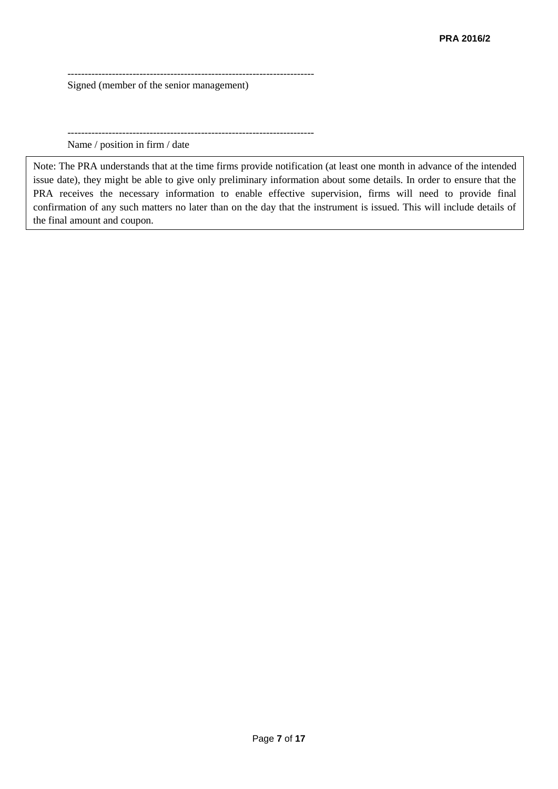------------------------------------------------------------------------ Signed (member of the senior management)

------------------------------------------------------------------------

Name / position in firm / date

Note: The PRA understands that at the time firms provide notification (at least one month in advance of the intended issue date), they might be able to give only preliminary information about some details. In order to ensure that the PRA receives the necessary information to enable effective supervision, firms will need to provide final confirmation of any such matters no later than on the day that the instrument is issued. This will include details of the final amount and coupon.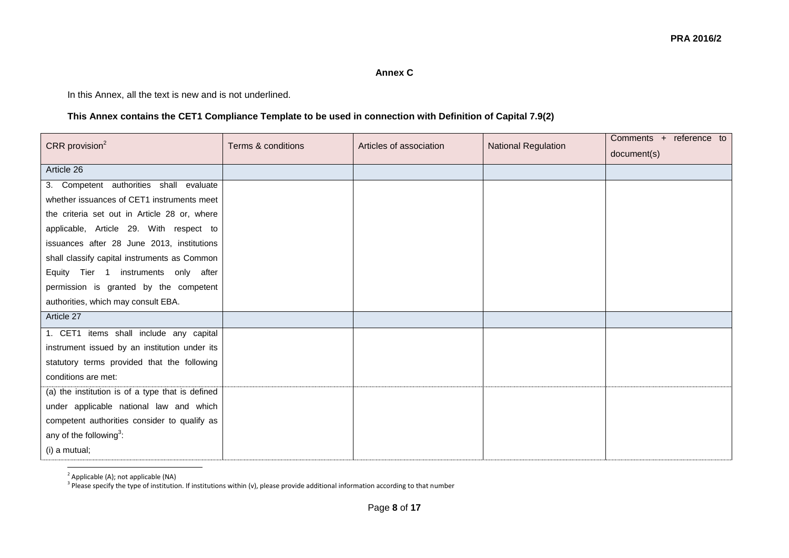## **Annex C**

In this Annex, all the text is new and is not underlined.

## **This Annex contains the CET1 Compliance Template to be used in connection with Definition of Capital 7.9(2)**

| CRR provision $2$                                | Terms & conditions | Articles of association | <b>National Regulation</b> | Comments + reference to |
|--------------------------------------------------|--------------------|-------------------------|----------------------------|-------------------------|
|                                                  |                    |                         |                            | document(s)             |
| Article 26                                       |                    |                         |                            |                         |
| 3. Competent authorities shall evaluate          |                    |                         |                            |                         |
| whether issuances of CET1 instruments meet       |                    |                         |                            |                         |
| the criteria set out in Article 28 or, where     |                    |                         |                            |                         |
| applicable, Article 29. With respect to          |                    |                         |                            |                         |
| issuances after 28 June 2013, institutions       |                    |                         |                            |                         |
| shall classify capital instruments as Common     |                    |                         |                            |                         |
| Equity Tier 1 instruments only after             |                    |                         |                            |                         |
| permission is granted by the competent           |                    |                         |                            |                         |
| authorities, which may consult EBA.              |                    |                         |                            |                         |
| Article 27                                       |                    |                         |                            |                         |
| 1. CET1 items shall include any capital          |                    |                         |                            |                         |
| instrument issued by an institution under its    |                    |                         |                            |                         |
| statutory terms provided that the following      |                    |                         |                            |                         |
| conditions are met:                              |                    |                         |                            |                         |
| (a) the institution is of a type that is defined |                    |                         |                            |                         |
| under applicable national law and which          |                    |                         |                            |                         |
| competent authorities consider to qualify as     |                    |                         |                            |                         |
| any of the following <sup>3</sup> :              |                    |                         |                            |                         |
| (i) a mutual;                                    |                    |                         |                            |                         |

<sup>2</sup> Applicable (A); not applicable (NA)

<sup>3</sup> Please specify the type of institution. If institutions within (v), please provide additional information according to that number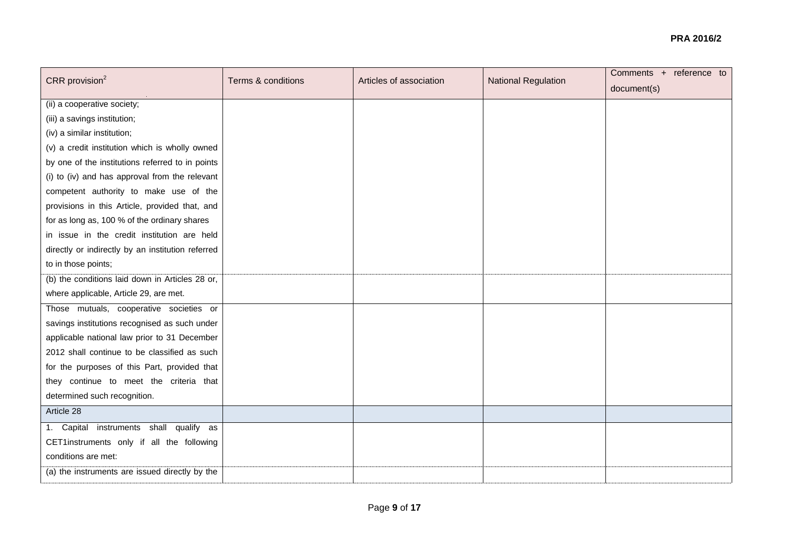| CRR provision $2$                                 | Terms & conditions | Articles of association | <b>National Regulation</b> | Comments + reference to |
|---------------------------------------------------|--------------------|-------------------------|----------------------------|-------------------------|
|                                                   |                    |                         |                            | document(s)             |
| (ii) a cooperative society;                       |                    |                         |                            |                         |
| (iii) a savings institution;                      |                    |                         |                            |                         |
| (iv) a similar institution;                       |                    |                         |                            |                         |
| (v) a credit institution which is wholly owned    |                    |                         |                            |                         |
| by one of the institutions referred to in points  |                    |                         |                            |                         |
| (i) to (iv) and has approval from the relevant    |                    |                         |                            |                         |
| competent authority to make use of the            |                    |                         |                            |                         |
| provisions in this Article, provided that, and    |                    |                         |                            |                         |
| for as long as, 100 % of the ordinary shares      |                    |                         |                            |                         |
| in issue in the credit institution are held       |                    |                         |                            |                         |
| directly or indirectly by an institution referred |                    |                         |                            |                         |
| to in those points;                               |                    |                         |                            |                         |
| (b) the conditions laid down in Articles 28 or,   |                    |                         |                            |                         |
| where applicable, Article 29, are met.            |                    |                         |                            |                         |
| Those mutuals, cooperative societies or           |                    |                         |                            |                         |
| savings institutions recognised as such under     |                    |                         |                            |                         |
| applicable national law prior to 31 December      |                    |                         |                            |                         |
| 2012 shall continue to be classified as such      |                    |                         |                            |                         |
| for the purposes of this Part, provided that      |                    |                         |                            |                         |
| they continue to meet the criteria that           |                    |                         |                            |                         |
| determined such recognition.                      |                    |                         |                            |                         |
| Article 28                                        |                    |                         |                            |                         |
| 1. Capital instruments shall qualify as           |                    |                         |                            |                         |
| CET1instruments only if all the following         |                    |                         |                            |                         |
| conditions are met:                               |                    |                         |                            |                         |
| (a) the instruments are issued directly by the    |                    |                         |                            |                         |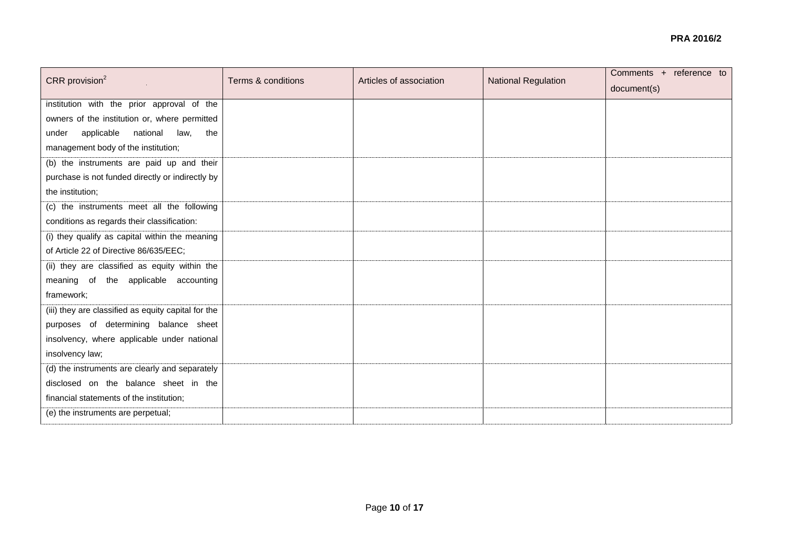| CRR provision $2$                                   | Terms & conditions | Articles of association | <b>National Regulation</b> | Comments + reference to |
|-----------------------------------------------------|--------------------|-------------------------|----------------------------|-------------------------|
|                                                     |                    |                         |                            | document(s)             |
| institution with the prior approval of the          |                    |                         |                            |                         |
| owners of the institution or, where permitted       |                    |                         |                            |                         |
| applicable national law,<br>the<br>under            |                    |                         |                            |                         |
| management body of the institution;                 |                    |                         |                            |                         |
| (b) the instruments are paid up and their           |                    |                         |                            |                         |
| purchase is not funded directly or indirectly by    |                    |                         |                            |                         |
| the institution;                                    |                    |                         |                            |                         |
| (c) the instruments meet all the following          |                    |                         |                            |                         |
| conditions as regards their classification:         |                    |                         |                            |                         |
| (i) they qualify as capital within the meaning      |                    |                         |                            |                         |
| of Article 22 of Directive 86/635/EEC;              |                    |                         |                            |                         |
| (ii) they are classified as equity within the       |                    |                         |                            |                         |
| meaning of the applicable accounting                |                    |                         |                            |                         |
| framework;                                          |                    |                         |                            |                         |
| (iii) they are classified as equity capital for the |                    |                         |                            |                         |
| purposes of determining balance sheet               |                    |                         |                            |                         |
| insolvency, where applicable under national         |                    |                         |                            |                         |
| insolvency law;                                     |                    |                         |                            |                         |
| (d) the instruments are clearly and separately      |                    |                         |                            |                         |
| disclosed on the balance sheet in the               |                    |                         |                            |                         |
| financial statements of the institution;            |                    |                         |                            |                         |
| (e) the instruments are perpetual;                  |                    |                         |                            |                         |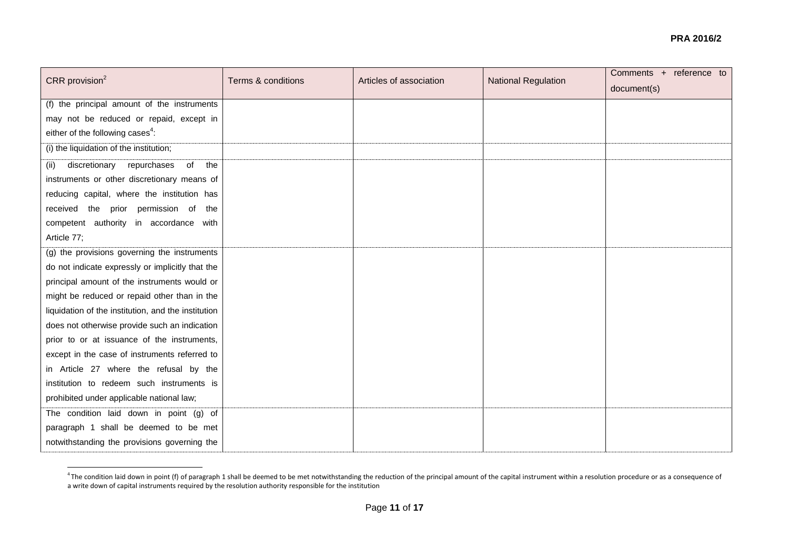| CRR provision $2$                                   | Terms & conditions | Articles of association | <b>National Regulation</b> | Comments + reference to<br>document(s) |
|-----------------------------------------------------|--------------------|-------------------------|----------------------------|----------------------------------------|
| (f) the principal amount of the instruments         |                    |                         |                            |                                        |
| may not be reduced or repaid, except in             |                    |                         |                            |                                        |
| either of the following cases <sup>4</sup> :        |                    |                         |                            |                                        |
| (i) the liquidation of the institution;             |                    |                         |                            |                                        |
|                                                     |                    |                         |                            |                                        |
| repurchases<br>discretionary<br>of the<br>(ii)      |                    |                         |                            |                                        |
| instruments or other discretionary means of         |                    |                         |                            |                                        |
| reducing capital, where the institution has         |                    |                         |                            |                                        |
| received the prior permission of the                |                    |                         |                            |                                        |
| competent authority in accordance with              |                    |                         |                            |                                        |
| Article 77;                                         |                    |                         |                            |                                        |
| (g) the provisions governing the instruments        |                    |                         |                            |                                        |
| do not indicate expressly or implicitly that the    |                    |                         |                            |                                        |
| principal amount of the instruments would or        |                    |                         |                            |                                        |
| might be reduced or repaid other than in the        |                    |                         |                            |                                        |
| liquidation of the institution, and the institution |                    |                         |                            |                                        |
| does not otherwise provide such an indication       |                    |                         |                            |                                        |
| prior to or at issuance of the instruments,         |                    |                         |                            |                                        |
| except in the case of instruments referred to       |                    |                         |                            |                                        |
| in Article 27 where the refusal by the              |                    |                         |                            |                                        |
| institution to redeem such instruments is           |                    |                         |                            |                                        |
| prohibited under applicable national law;           |                    |                         |                            |                                        |
| The condition laid down in point (g) of             |                    |                         |                            |                                        |
| paragraph 1 shall be deemed to be met               |                    |                         |                            |                                        |
| notwithstanding the provisions governing the        |                    |                         |                            |                                        |
|                                                     |                    |                         |                            |                                        |

A The condition laid down in point (f) of paragraph 1 shall be deemed to be met notwithstanding the reduction of the principal amount of the capital instrument within a resolution procedure or as a consequence of<br>A The con a write down of capital instruments required by the resolution authority responsible for the institution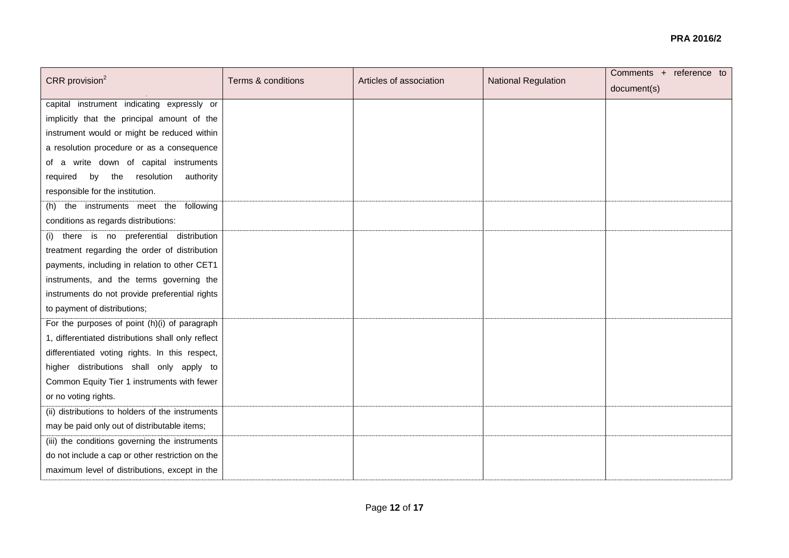| CRR provision $2$                                  | Terms & conditions | Articles of association | <b>National Regulation</b> | Comments + reference to |
|----------------------------------------------------|--------------------|-------------------------|----------------------------|-------------------------|
|                                                    |                    |                         |                            | document(s)             |
| capital instrument indicating expressly or         |                    |                         |                            |                         |
| implicitly that the principal amount of the        |                    |                         |                            |                         |
| instrument would or might be reduced within        |                    |                         |                            |                         |
| a resolution procedure or as a consequence         |                    |                         |                            |                         |
| of a write down of capital instruments             |                    |                         |                            |                         |
| required by the resolution<br>authority            |                    |                         |                            |                         |
| responsible for the institution.                   |                    |                         |                            |                         |
| (h) the instruments meet the following             |                    |                         |                            |                         |
| conditions as regards distributions:               |                    |                         |                            |                         |
| there is no preferential<br>distribution<br>(i)    |                    |                         |                            |                         |
| treatment regarding the order of distribution      |                    |                         |                            |                         |
| payments, including in relation to other CET1      |                    |                         |                            |                         |
| instruments, and the terms governing the           |                    |                         |                            |                         |
| instruments do not provide preferential rights     |                    |                         |                            |                         |
| to payment of distributions;                       |                    |                         |                            |                         |
| For the purposes of point (h)(i) of paragraph      |                    |                         |                            |                         |
| 1, differentiated distributions shall only reflect |                    |                         |                            |                         |
| differentiated voting rights. In this respect,     |                    |                         |                            |                         |
| higher distributions shall only apply to           |                    |                         |                            |                         |
| Common Equity Tier 1 instruments with fewer        |                    |                         |                            |                         |
| or no voting rights.                               |                    |                         |                            |                         |
| (ii) distributions to holders of the instruments   |                    |                         |                            |                         |
| may be paid only out of distributable items;       |                    |                         |                            |                         |
| (iii) the conditions governing the instruments     |                    |                         |                            |                         |
| do not include a cap or other restriction on the   |                    |                         |                            |                         |
| maximum level of distributions, except in the      |                    |                         |                            |                         |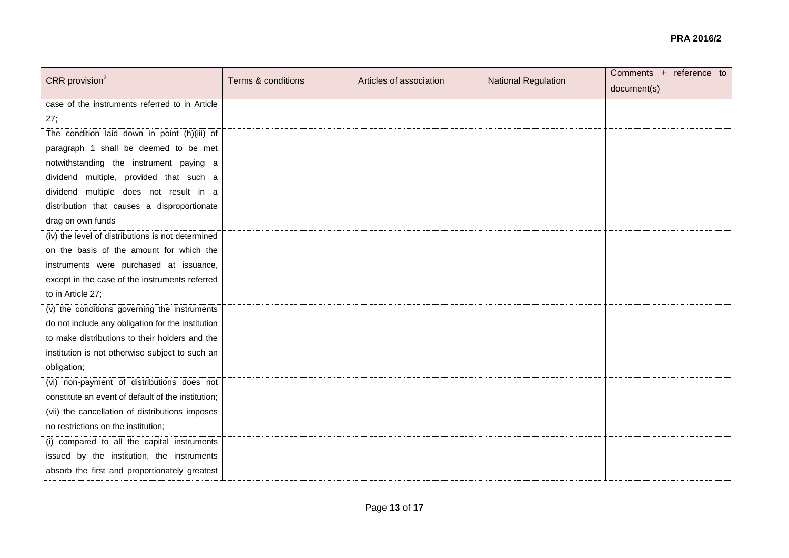| CRR provision $2$                                  | Terms & conditions | Articles of association | <b>National Regulation</b> | Comments + reference to |
|----------------------------------------------------|--------------------|-------------------------|----------------------------|-------------------------|
|                                                    |                    |                         |                            | document(s)             |
| case of the instruments referred to in Article     |                    |                         |                            |                         |
| 27;                                                |                    |                         |                            |                         |
| The condition laid down in point (h)(iii) of       |                    |                         |                            |                         |
| paragraph 1 shall be deemed to be met              |                    |                         |                            |                         |
| notwithstanding the instrument paying a            |                    |                         |                            |                         |
| dividend multiple, provided that such a            |                    |                         |                            |                         |
| dividend multiple does not result in a             |                    |                         |                            |                         |
| distribution that causes a disproportionate        |                    |                         |                            |                         |
| drag on own funds                                  |                    |                         |                            |                         |
| (iv) the level of distributions is not determined  |                    |                         |                            |                         |
| on the basis of the amount for which the           |                    |                         |                            |                         |
| instruments were purchased at issuance,            |                    |                         |                            |                         |
| except in the case of the instruments referred     |                    |                         |                            |                         |
| to in Article 27;                                  |                    |                         |                            |                         |
| (v) the conditions governing the instruments       |                    |                         |                            |                         |
| do not include any obligation for the institution  |                    |                         |                            |                         |
| to make distributions to their holders and the     |                    |                         |                            |                         |
| institution is not otherwise subject to such an    |                    |                         |                            |                         |
| obligation;                                        |                    |                         |                            |                         |
| (vi) non-payment of distributions does not         |                    |                         |                            |                         |
| constitute an event of default of the institution; |                    |                         |                            |                         |
| (vii) the cancellation of distributions imposes    |                    |                         |                            |                         |
| no restrictions on the institution;                |                    |                         |                            |                         |
| (i) compared to all the capital instruments        |                    |                         |                            |                         |
| issued by the institution, the instruments         |                    |                         |                            |                         |
| absorb the first and proportionately greatest      |                    |                         |                            |                         |
|                                                    |                    |                         |                            |                         |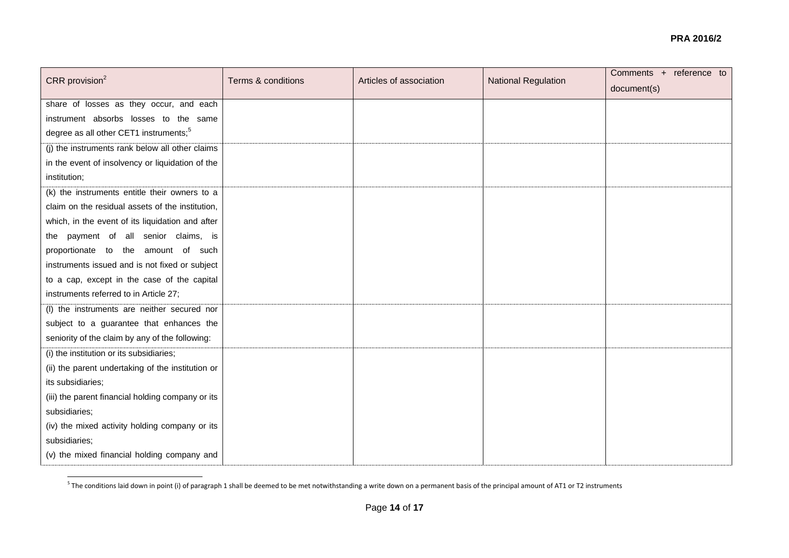| CRR provision $2$                                  | Terms & conditions | Articles of association | <b>National Regulation</b> | Comments + reference to<br>document(s) |
|----------------------------------------------------|--------------------|-------------------------|----------------------------|----------------------------------------|
| share of losses as they occur, and each            |                    |                         |                            |                                        |
| instrument absorbs losses to the same              |                    |                         |                            |                                        |
| degree as all other CET1 instruments; <sup>5</sup> |                    |                         |                            |                                        |
| (j) the instruments rank below all other claims    |                    |                         |                            |                                        |
| in the event of insolvency or liquidation of the   |                    |                         |                            |                                        |
| institution;                                       |                    |                         |                            |                                        |
| (k) the instruments entitle their owners to a      |                    |                         |                            |                                        |
| claim on the residual assets of the institution,   |                    |                         |                            |                                        |
| which, in the event of its liquidation and after   |                    |                         |                            |                                        |
| the payment of all senior claims, is               |                    |                         |                            |                                        |
| proportionate to the amount of such                |                    |                         |                            |                                        |
| instruments issued and is not fixed or subject     |                    |                         |                            |                                        |
| to a cap, except in the case of the capital        |                    |                         |                            |                                        |
| instruments referred to in Article 27;             |                    |                         |                            |                                        |
| (I) the instruments are neither secured nor        |                    |                         |                            |                                        |
| subject to a guarantee that enhances the           |                    |                         |                            |                                        |
| seniority of the claim by any of the following:    |                    |                         |                            |                                        |
| (i) the institution or its subsidiaries;           |                    |                         |                            |                                        |
| (ii) the parent undertaking of the institution or  |                    |                         |                            |                                        |
| its subsidiaries;                                  |                    |                         |                            |                                        |
| (iii) the parent financial holding company or its  |                    |                         |                            |                                        |
| subsidiaries;                                      |                    |                         |                            |                                        |
| (iv) the mixed activity holding company or its     |                    |                         |                            |                                        |
| subsidiaries;                                      |                    |                         |                            |                                        |
| (v) the mixed financial holding company and        |                    |                         |                            |                                        |

 5 The conditions laid down in point (i) of paragraph 1 shall be deemed to be met notwithstanding a write down on a permanent basis of the principal amount of AT1 or T2 instruments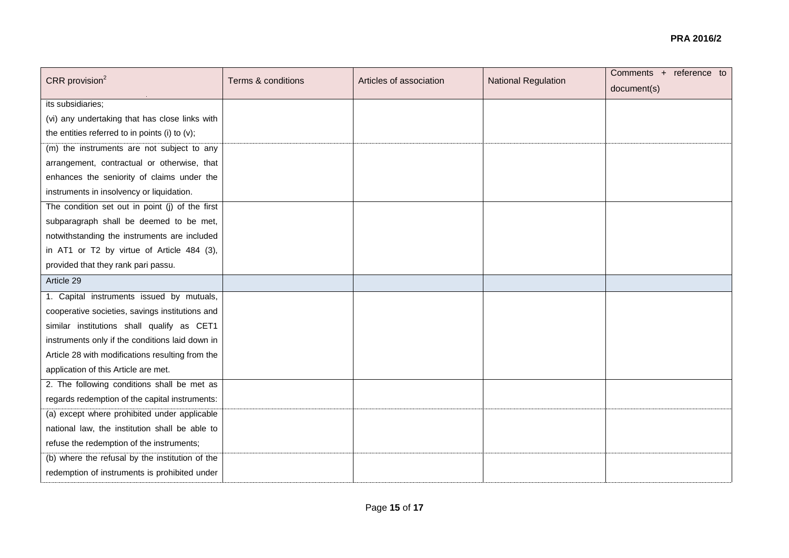| Articles of association | <b>National Regulation</b> | document(s) |
|-------------------------|----------------------------|-------------|
|                         |                            |             |
|                         |                            |             |
|                         |                            |             |
|                         |                            |             |
|                         |                            |             |
|                         |                            |             |
|                         |                            |             |
|                         |                            |             |
|                         |                            |             |
|                         |                            |             |
|                         |                            |             |
|                         |                            |             |
|                         |                            |             |
|                         |                            |             |
|                         |                            |             |
|                         |                            |             |
|                         |                            |             |
|                         |                            |             |
|                         |                            |             |
|                         |                            |             |
|                         |                            |             |
|                         |                            |             |
|                         |                            |             |
|                         |                            |             |
|                         |                            |             |
|                         |                            |             |
|                         |                            |             |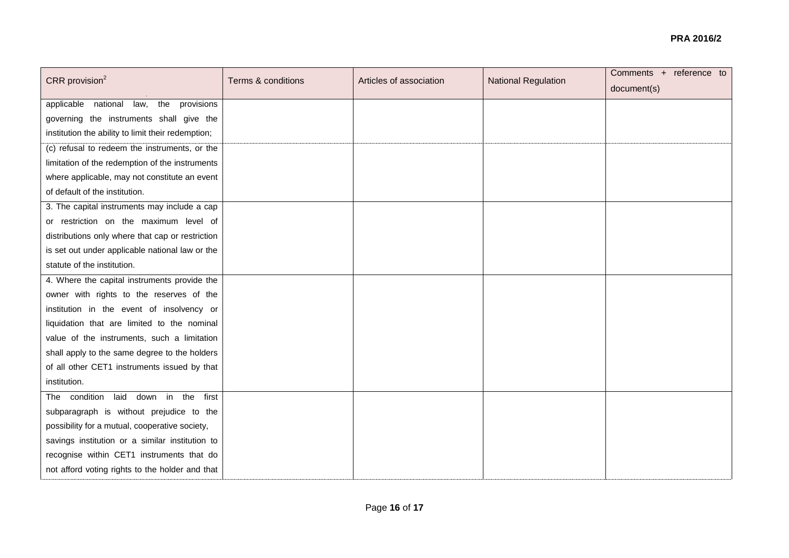| CRR provision <sup>2</sup>                         | Terms & conditions | Articles of association | <b>National Regulation</b> | Comments + reference to |
|----------------------------------------------------|--------------------|-------------------------|----------------------------|-------------------------|
|                                                    |                    |                         |                            | document(s)             |
| applicable national<br>law,<br>the<br>provisions   |                    |                         |                            |                         |
| governing the instruments shall give the           |                    |                         |                            |                         |
| institution the ability to limit their redemption; |                    |                         |                            |                         |
| (c) refusal to redeem the instruments, or the      |                    |                         |                            |                         |
| limitation of the redemption of the instruments    |                    |                         |                            |                         |
| where applicable, may not constitute an event      |                    |                         |                            |                         |
| of default of the institution.                     |                    |                         |                            |                         |
| 3. The capital instruments may include a cap       |                    |                         |                            |                         |
| or restriction on the maximum level of             |                    |                         |                            |                         |
| distributions only where that cap or restriction   |                    |                         |                            |                         |
| is set out under applicable national law or the    |                    |                         |                            |                         |
| statute of the institution.                        |                    |                         |                            |                         |
| 4. Where the capital instruments provide the       |                    |                         |                            |                         |
| owner with rights to the reserves of the           |                    |                         |                            |                         |
| institution in the event of insolvency or          |                    |                         |                            |                         |
| liquidation that are limited to the nominal        |                    |                         |                            |                         |
| value of the instruments, such a limitation        |                    |                         |                            |                         |
| shall apply to the same degree to the holders      |                    |                         |                            |                         |
| of all other CET1 instruments issued by that       |                    |                         |                            |                         |
| institution.                                       |                    |                         |                            |                         |
| The condition laid down in the<br>first            |                    |                         |                            |                         |
| subparagraph is without prejudice to the           |                    |                         |                            |                         |
| possibility for a mutual, cooperative society,     |                    |                         |                            |                         |
| savings institution or a similar institution to    |                    |                         |                            |                         |
| recognise within CET1 instruments that do          |                    |                         |                            |                         |
| not afford voting rights to the holder and that    |                    |                         |                            |                         |